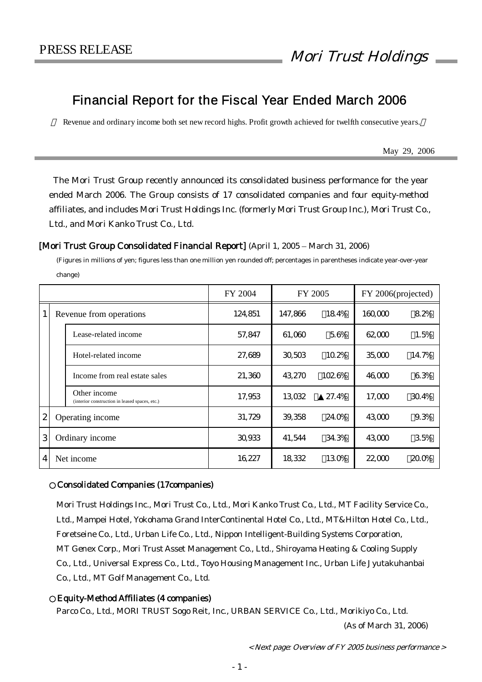# Financial Report for the Fiscal Year Ended March 2006

Revenue and ordinary income both set new record highs. Profit growth achieved for twelfth consecutive years.

May 29, 2006

The Mori Trust Group recently announced its consolidated business performance for the year ended March 2006. The Group consists of 17 consolidated companies and four equity-method affiliates, and includes Mori Trust Holdings Inc. (formerly Mori Trust Group Inc.), Mori Trust Co., Ltd., and Mori Kanko Trust Co., Ltd.

### [Mori Trust Group Consolidated Financial Report] (April 1, 2005 – March 31, 2006)

(Figures in millions of yen; figures less than one million yen rounded off; percentages in parentheses indicate year-over-year change)

|                              |  |                                                                | FY 2004 | FY 2005 |         | FY 2006(projected) |       |
|------------------------------|--|----------------------------------------------------------------|---------|---------|---------|--------------------|-------|
| 1<br>Revenue from operations |  | 124,851                                                        | 147,866 | 184%    | 160,000 | 82%                |       |
|                              |  | Lease-related income                                           | 57,847  | 61,060  | 56%     | 62,000             | 1.5%  |
|                              |  | Hotel-related income                                           | 27,689  | 30,503  | 102%    | 35,000             | 14.7% |
|                              |  | Income from real estate sales                                  | 21,360  | 43,270  | 1026%   | 46000              | 63%   |
|                              |  | Other income<br>(interior construction in leased spaces, etc.) | 17,953  | 13032   | 27.4%   | 17,000             | 304%  |
| $\mathbf{2}$                 |  | Operating income                                               | 31,729  | 39.358  | 24.0%   | 43000              | 9.3%  |
| 3                            |  | Ordinary income                                                | 30933   | 41,544  | 34.3%   | 43000              | 35%   |
| $\boldsymbol{4}$             |  | Net income                                                     | 16227   | 18332   | 130%    | 22,000             | 200%  |

### ○Consolidated Companies (17companies)

Mori Trust Holdings Inc., Mori Trust Co., Ltd., Mori Kanko Trust Co., Ltd., MT Facility Service Co., Ltd., Mampei Hotel, Yokohama Grand InterContinental Hotel Co., Ltd., MT&Hilton Hotel Co., Ltd., Foretseine Co., Ltd., Urban Life Co., Ltd., Nippon Intelligent-Building Systems Corporation, MT Genex Corp., Mori Trust Asset Management Co., Ltd., Shiroyama Heating & Cooling Supply Co., Ltd., Universal Express Co., Ltd., Toyo Housing Management Inc., Urban Life Jyutakuhanbai Co., Ltd., MT Golf Management Co., Ltd.

### Equity-Method Affiliates (4 companies)

Parco Co., Ltd., MORI TRUST Sogo Reit, Inc., URBAN SERVICE Co., Ltd., Morikiyo Co., Ltd.

(As of March 31, 2006)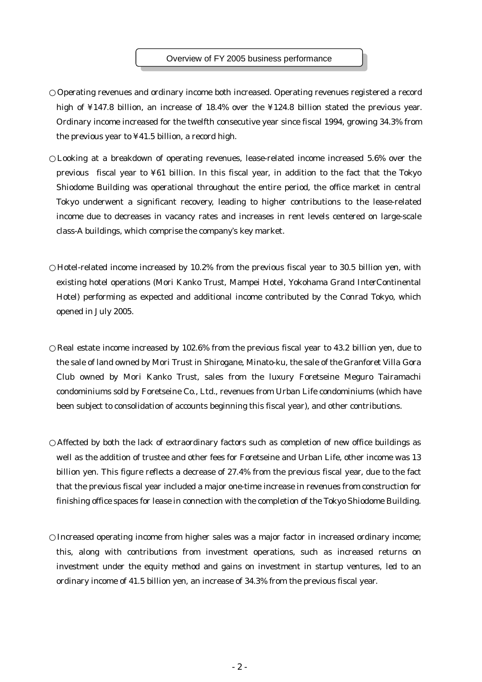#### Overview of FY 2005 business performance

Operating revenues and ordinary income both increased. Operating revenues registered a record high of ¥147.8 billion, an increase of 18.4% over the ¥124.8 billion stated the previous year. Ordinary income increased for the twelfth consecutive year since fiscal 1994, growing 34.3% from the previous year to ¥41.5 billion, a record high.

Looking at a breakdown of operating revenues, lease-related income increased 5.6% over the previous fiscal year to ¥61 billion. In this fiscal year, in addition to the fact that the Tokyo Shiodome Building was operational throughout the entire period, the office market in central Tokyo underwent a significant recovery, leading to higher contributions to the lease-related income due to decreases in vacancy rates and increases in rent levels centered on large-scale class-A buildings, which comprise the company's key market.

Hotel-related income increased by 10.2% from the previous fiscal year to 30.5 billion yen, with existing hotel operations (Mori Kanko Trust, Mampei Hotel, Yokohama Grand InterContinental Hotel) performing as expected and additional income contributed by the Conrad Tokyo, which opened in July 2005.

Real estate income increased by 102.6% from the previous fiscal year to 43.2 billion yen, due to the sale of land owned by Mori Trust in Shirogane, Minato-ku, the sale of the Granforet Villa Gora Club owned by Mori Kanko Trust, sales from the luxury Foretseine Meguro Tairamachi condominiums sold by Foretseine Co., Ltd., revenues from Urban Life condominiums (which have been subject to consolidation of accounts beginning this fiscal year), and other contributions.

Affected by both the lack of extraordinary factors such as completion of new office buildings as well as the addition of trustee and other fees for Foretseine and Urban Life, other income was 13 billion yen. This figure reflects a decrease of 27.4% from the previous fiscal year, due to the fact that the previous fiscal year included a major one-time increase in revenues from construction for finishing office spaces for lease in connection with the completion of the Tokyo Shiodome Building.

Increased operating income from higher sales was a major factor in increased ordinary income; this, along with contributions from investment operations, such as increased returns on investment under the equity method and gains on investment in startup ventures, led to an ordinary income of 41.5 billion yen, an increase of 34.3% from the previous fiscal year.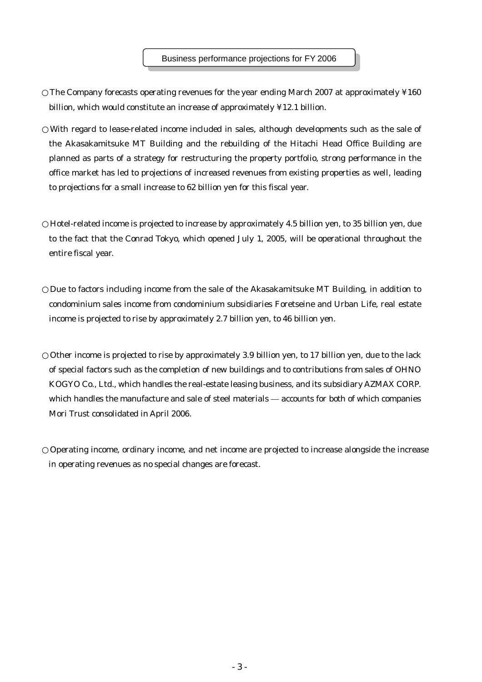The Company forecasts operating revenues for the year ending March 2007 at approximately ¥160 billion, which would constitute an increase of approximately ¥12.1 billion.

With regard to lease-related income included in sales, although developments such as the sale of the Akasakamitsuke MT Building and the rebuilding of the Hitachi Head Office Building are planned as parts of a strategy for restructuring the property portfolio, strong performance in the office market has led to projections of increased revenues from existing properties as well, leading to projections for a small increase to 62 billion yen for this fiscal year.

Hotel-related income is projected to increase by approximately 4.5 billion yen, to 35 billion yen, due to the fact that the Conrad Tokyo, which opened July 1, 2005, will be operational throughout the entire fiscal year.

Due to factors including income from the sale of the Akasakamitsuke MT Building, in addition to condominium sales income from condominium subsidiaries Foretseine and Urban Life, real estate income is projected to rise by approximately 2.7 billion yen, to 46 billion yen.

Other income is projected to rise by approximately 3.9 billion yen, to 17 billion yen, due to the lack of special factors such as the completion of new buildings and to contributions from sales of OHNO KOGYO Co., Ltd., which handles the real-estate leasing business, and its subsidiary AZMAX CORP. which handles the manufacture and sale of steel materials — accounts for both of which companies Mori Trust consolidated in April 2006.

Operating income, ordinary income, and net income are projected to increase alongside the increase in operating revenues as no special changes are forecast.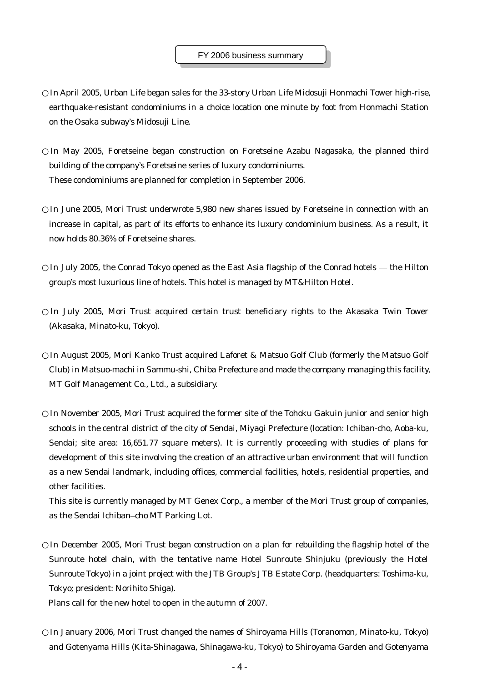In April 2005, Urban Life began sales for the 33-story Urban Life Midosuji Honmachi Tower high-rise, earthquake-resistant condominiums in a choice location one minute by foot from Honmachi Station on the Osaka subway's Midosuji Line.

In May 2005, Foretseine began construction on Foretseine Azabu Nagasaka, the planned third building of the company's Foretseine series of luxury condominiums. These condominiums are planned for completion in September 2006.

In June 2005, Mori Trust underwrote 5,980 new shares issued by Foretseine in connection with an increase in capital, as part of its efforts to enhance its luxury condominium business. As a result, it now holds 80.36% of Foretseine shares.

In July 2005, the Conrad Tokyo opened as the East Asia flagship of the Conrad hotels — the Hilton group's most luxurious line of hotels. This hotel is managed by MT&Hilton Hotel.

In July 2005, Mori Trust acquired certain trust beneficiary rights to the Akasaka Twin Tower (Akasaka, Minato-ku, Tokyo).

In August 2005, Mori Kanko Trust acquired Laforet & Matsuo Golf Club (formerly the Matsuo Golf Club) in Matsuo-machi in Sammu-shi, Chiba Prefecture and made the company managing this facility, MT Golf Management Co., Ltd., a subsidiary.

In November 2005, Mori Trust acquired the former site of the Tohoku Gakuin junior and senior high schools in the central district of the city of Sendai, Miyagi Prefecture (location: Ichiban-cho, Aoba-ku, Sendai; site area: 16,651.77 square meters). It is currently proceeding with studies of plans for development of this site involving the creation of an attractive urban environment that will function as a new Sendai landmark, including offices, commercial facilities, hotels, residential properties, and other facilities.

This site is currently managed by MT Genex Corp., a member of the Mori Trust group of companies, as the Sendai Ichiban–cho MT Parking Lot.

In December 2005, Mori Trust began construction on a plan for rebuilding the flagship hotel of the Sunroute hotel chain, with the tentative name Hotel Sunroute Shinjuku (previously the Hotel Sunroute Tokyo) in a joint project with the JTB Group's JTB Estate Corp. (headquarters: Toshima-ku, Tokyo; president: Norihito Shiga).

Plans call for the new hotel to open in the autumn of 2007.

In January 2006, Mori Trust changed the names of Shiroyama Hills (Toranomon, Minato-ku, Tokyo) and Gotenyama Hills (Kita-Shinagawa, Shinagawa-ku, Tokyo) to Shiroyama Garden and Gotenyama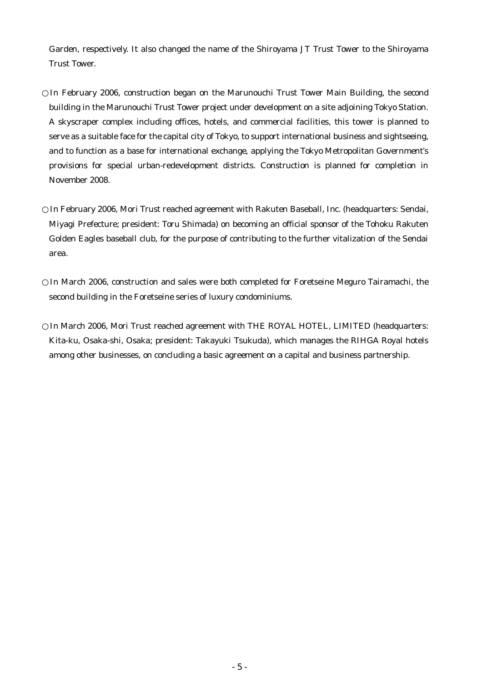Garden, respectively. It also changed the name of the Shiroyama JT Trust Tower to the Shiroyama Trust Tower.

In February 2006, construction began on the Marunouchi Trust Tower Main Building, the second building in the Marunouchi Trust Tower project under development on a site adjoining Tokyo Station. A skyscraper complex including offices, hotels, and commercial facilities, this tower is planned to serve as a suitable face for the capital city of Tokyo, to support international business and sightseeing, and to function as a base for international exchange, applying the Tokyo Metropolitan Government's provisions for special urban-redevelopment districts. Construction is planned for completion in November 2008.

In February 2006, Mori Trust reached agreement with Rakuten Baseball, Inc. (headquarters: Sendai, Miyagi Prefecture; president: Toru Shimada) on becoming an official sponsor of the Tohoku Rakuten Golden Eagles baseball club, for the purpose of contributing to the further vitalization of the Sendai area.

In March 2006, construction and sales were both completed for Foretseine Meguro Tairamachi, the second building in the Foretseine series of luxury condominiums.

In March 2006, Mori Trust reached agreement with THE ROYAL HOTEL, LIMITED (headquarters: Kita-ku, Osaka-shi, Osaka; president: Takayuki Tsukuda), which manages the RIHGA Royal hotels among other businesses, on concluding a basic agreement on a capital and business partnership.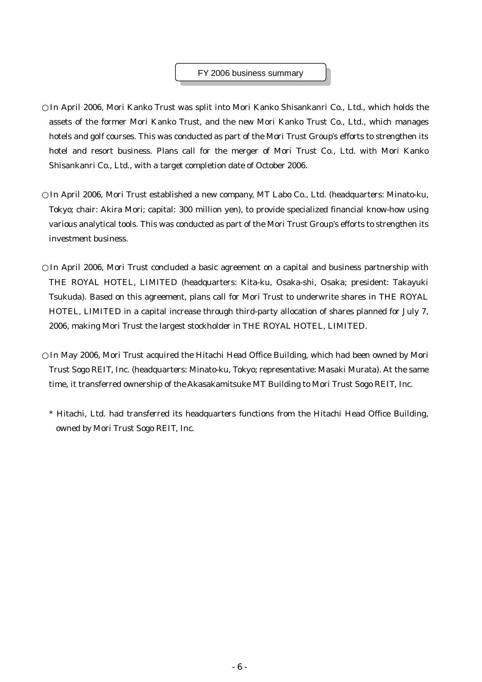#### FY 2006 business summary

In April 2006, Mori Kanko Trust was split into Mori Kanko Shisankanri Co., Ltd., which holds the assets of the former Mori Kanko Trust, and the new Mori Kanko Trust Co., Ltd., which manages hotels and golf courses. This was conducted as part of the Mori Trust Group's efforts to strengthen its hotel and resort business. Plans call for the merger of Mori Trust Co., Ltd. with Mori Kanko Shisankanri Co., Ltd., with a target completion date of October 2006.

In April 2006, Mori Trust established a new company, MT Labo Co., Ltd. (headquarters: Minato-ku, Tokyo; chair: Akira Mori; capital: 300 million yen), to provide specialized financial know-how using various analytical tools. This was conducted as part of the Mori Trust Group's efforts to strengthen its investment business.

In April 2006, Mori Trust concluded a basic agreement on a capital and business partnership with THE ROYAL HOTEL, LIMITED (headquarters: Kita-ku, Osaka-shi, Osaka; president: Takayuki Tsukuda). Based on this agreement, plans call for Mori Trust to underwrite shares in THE ROYAL HOTEL, LIMITED in a capital increase through third-party allocation of shares planned for July 7, 2006, making Mori Trust the largest stockholder in THE ROYAL HOTEL, LIMITED.

In May 2006, Mori Trust acquired the Hitachi Head Office Building, which had been owned by Mori Trust Sogo REIT, Inc. (headquarters: Minato-ku, Tokyo; representative: Masaki Murata). At the same time, it transferred ownership of the Akasakamitsuke MT Building to Mori Trust Sogo REIT, Inc.

\* Hitachi, Ltd. had transferred its headquarters functions from the Hitachi Head Office Building, owned by Mori Trust Sogo REIT, Inc.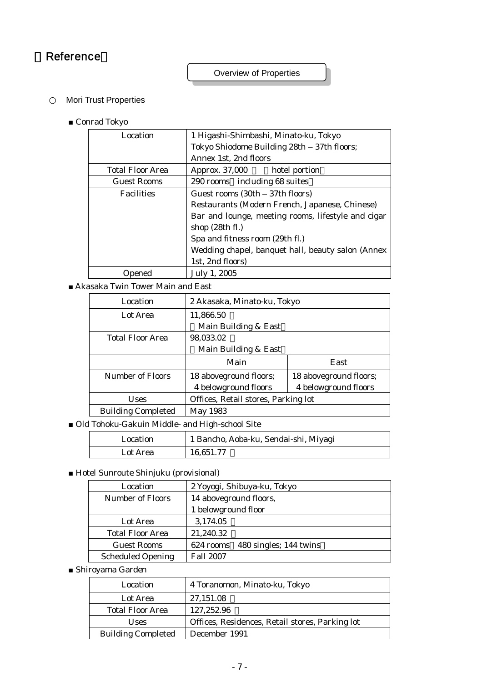# **Reference**

Overview of Properties

Mori Trust Properties

■ Conrad Tokyo

| 1 Higashi-Shimbashi, Minato-ku, Tokyo<br>Location |                                                    |  |
|---------------------------------------------------|----------------------------------------------------|--|
|                                                   | Tokyo Shiodome Building 28th - 37th floors;        |  |
|                                                   | Annex 1st, 2nd floors                              |  |
| <b>Total Floor Area</b>                           | Approx. 37,000<br>hotel portion                    |  |
| <b>Guest Rooms</b>                                | 290 rooms including 68 suites                      |  |
| <b>Facilities</b>                                 | Guest rooms $(30th - 37th$ floors)                 |  |
|                                                   | Restaurants (Modern French, Japanese, Chinese)     |  |
|                                                   | Bar and lounge, meeting rooms, lifestyle and cigar |  |
|                                                   | shop $(28th fl.)$                                  |  |
|                                                   | Spa and fitness room (29th fl.)                    |  |
|                                                   | Wedding chapel, banquet hall, beauty salon (Annex  |  |
|                                                   | 1st, 2nd floors)                                   |  |
| pened                                             | July 1, 2005                                       |  |

■ Akasaka Twin Tower Main and East

| Location                  | 2 Akasaka, Minato-ku, Tokyo         |                        |
|---------------------------|-------------------------------------|------------------------|
| Lot Area                  | 11,866.50                           |                        |
|                           | Main Building & East                |                        |
| <b>Total Floor Area</b>   | 98,033.02                           |                        |
|                           | Main Building & East                |                        |
|                           | Main                                | East                   |
| Number of Floors          | 18 aboveground floors;              | 18 aboveground floors; |
|                           | 4 belowground floors                | 4 belowground floors   |
| Uses                      | Offices, Retail stores, Parking lot |                        |
| <b>Building Completed</b> | May 1983                            |                        |

■ Old Tohoku-Gakuin Middle- and High-school Site

| Location | 1 Bancho, Aoba-ku, Sendai-shi, Miyagi |
|----------|---------------------------------------|
| Lot Area | 16.651.77                             |

■ Hotel Sunroute Shinjuku (provisional)

| Location                 | 2 Yoyogi, Shibuya-ku, Tokyo      |
|--------------------------|----------------------------------|
| <b>Number of Floors</b>  | 14 aboveground floors,           |
|                          | 1 belowground floor              |
| Lot Area                 | 3,174.05                         |
| <b>Total Floor Area</b>  | 21,240.32                        |
| <b>Guest Rooms</b>       | 624 rooms 480 singles; 144 twins |
| <b>Scheduled Opening</b> | <b>Fall 2007</b>                 |

■ Shiroyama Garden

| Location                  | 4 Toranomon, Minato-ku, Tokyo                   |
|---------------------------|-------------------------------------------------|
| Lot Area                  | 27,151.08                                       |
| <b>Total Floor Area</b>   | 127,252.96                                      |
| <b>Uses</b>               | Offices, Residences, Retail stores, Parking lot |
| <b>Building Completed</b> | December 1991                                   |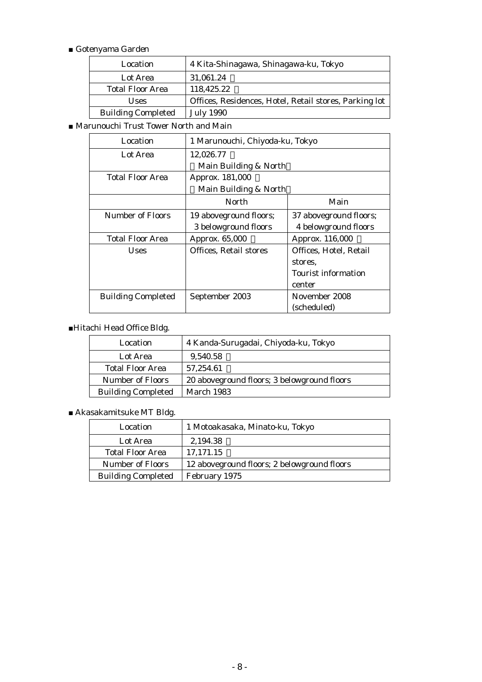### ■ Gotenyama Garden

| Location                  | 4 Kita-Shinagawa, Shinagawa-ku, Tokyo                  |
|---------------------------|--------------------------------------------------------|
| Lot Area                  | 31,061.24                                              |
| <b>Total Floor Area</b>   | 118,425.22                                             |
| <b>Uses</b>               | Offices, Residences, Hotel, Retail stores, Parking lot |
| <b>Building Completed</b> | <b>July 1990</b>                                       |

■ Marunouchi Trust Tower North and Main

| Location                  | 1 Marunouchi, Chiyoda-ku, Tokyo |                            |  |
|---------------------------|---------------------------------|----------------------------|--|
| Lot Area                  | 12,026.77                       |                            |  |
|                           | Main Building & North           |                            |  |
| <b>Total Floor Area</b>   | Approx. 181,000                 |                            |  |
|                           | Main Building & North           |                            |  |
|                           | North                           | Main                       |  |
| Number of Floors          | 19 aboveground floors;          | 37 aboveground floors;     |  |
|                           | 3 belowground floors            | 4 belowground floors       |  |
| Total Floor Area          | Approx. 65,000                  | Approx. 116,000            |  |
| <b>Uses</b>               | <b>Offices, Retail stores</b>   | Offices, Hotel, Retail     |  |
|                           |                                 | stores.                    |  |
|                           |                                 | <b>Tourist information</b> |  |
|                           |                                 | center                     |  |
| <b>Building Completed</b> | September 2003                  | November 2008              |  |
|                           |                                 | (scheduled)                |  |

### ■Hitachi Head Office Bldg.

| Location                  | 4 Kanda-Surugadai, Chiyoda-ku, Tokyo        |
|---------------------------|---------------------------------------------|
| Lot Area                  | 9,540.58                                    |
| <b>Total Floor Area</b>   | 57,254.61                                   |
| <b>Number of Floors</b>   | 20 aboveground floors; 3 belowground floors |
| <b>Building Completed</b> | <b>March 1983</b>                           |

### ■ Akasakamitsuke MT Bldg.

| Location                  | 1 Motoakasaka, Minato-ku, Tokyo             |
|---------------------------|---------------------------------------------|
| Lot Area                  | 2.194.38                                    |
| <b>Total Floor Area</b>   | 17,171.15                                   |
| <b>Number of Floors</b>   | 12 aboveground floors; 2 belowground floors |
| <b>Building Completed</b> | February 1975                               |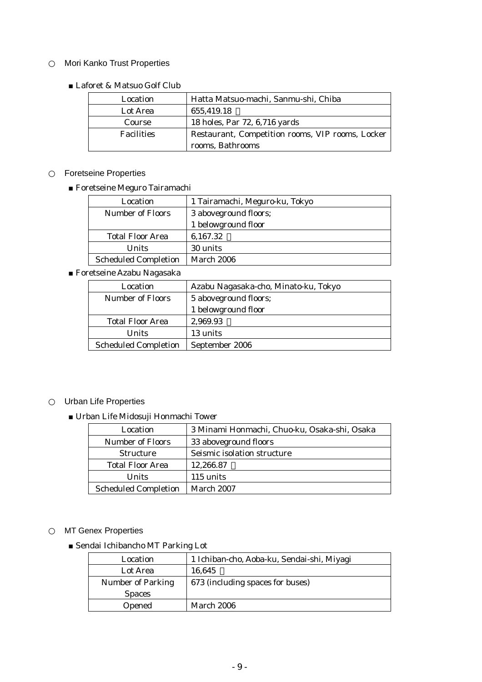## Mori Kanko Trust Properties

■ Laforet & Matsuo Golf Club

| Location          | Hatta Matsuo-machi, Sanmu-shi, Chiba             |  |
|-------------------|--------------------------------------------------|--|
| Lot Area          | 655,419.18                                       |  |
| Course            | 18 holes, Par 72, 6,716 yards                    |  |
| <b>Facilities</b> | Restaurant, Competition rooms, VIP rooms, Locker |  |
|                   | rooms, Bathrooms                                 |  |

### Foretseine Properties

■ Foretseine Meguro Tairamachi

| Location                    | 1 Tairamachi, Meguro-ku, Tokyo |
|-----------------------------|--------------------------------|
| <b>Number of Floors</b>     | 3 aboveground floors;          |
|                             | 1 belowground floor            |
| <b>Total Floor Area</b>     | 6,167.32                       |
| Units                       | 30 units                       |
| <b>Scheduled Completion</b> | <b>March 2006</b>              |

■ Foretseine Azabu Nagasaka

| Location                    | Azabu Nagasaka-cho, Minato-ku, Tokyo |
|-----------------------------|--------------------------------------|
| <b>Number of Floors</b>     | 5 aboveground floors;                |
|                             | 1 belowground floor                  |
| <b>Total Floor Area</b>     | 2,969.93                             |
| <b>Units</b>                | 13 units                             |
| <b>Scheduled Completion</b> | September 2006                       |

### Urban Life Properties

■ Urban Life Midosuji Honmachi Tower

| Location                    | 3 Minami Honmachi, Chuo-ku, Osaka-shi, Osaka |  |
|-----------------------------|----------------------------------------------|--|
| Number of Floors            | 33 aboveground floors                        |  |
| <b>Structure</b>            | Seismic isolation structure                  |  |
| <b>Total Floor Area</b>     | 12,266.87                                    |  |
| <b>Units</b>                | 115 units                                    |  |
| <b>Scheduled Completion</b> | March 2007                                   |  |

### MT Genex Properties

■ Sendai Ichibancho MT Parking Lot

| Location                 | 1 Ichiban-cho, Aoba-ku, Sendai-shi, Miyagi |
|--------------------------|--------------------------------------------|
| Lot Area                 | 16,645                                     |
| <b>Number of Parking</b> | 673 (including spaces for buses)           |
| <b>Spaces</b>            |                                            |
| Opened                   | March 2006                                 |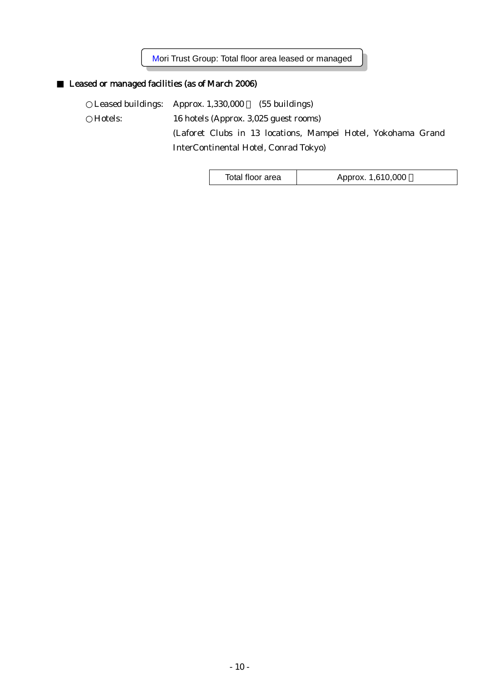Mori Trust Group: Total floor area leased or managed

## Leased or managed facilities (as of March 2006)

Leased buildings: Approx. 1,330,000 (55 buildings) Hotels: 16 hotels (Approx. 3,025 guest rooms) (Laforet Clubs in 13 locations, Mampei Hotel, Yokohama Grand

InterContinental Hotel, Conrad Tokyo)

Total floor area | Approx. 1,610,000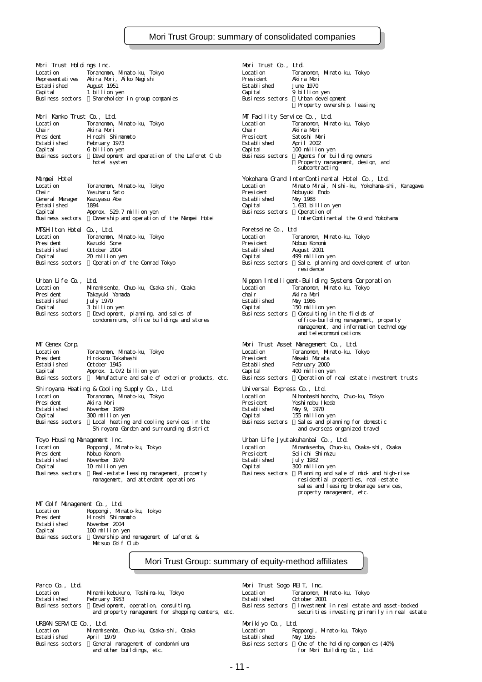Mori Trust Holdings Inc. Mori Trust Co., Ltd. Location Toranomon, Minato-ku, Tokyo Location Toranomon, Minato-ku, Tokyo Representatives Akira Mori, Aiko Negishi President Akira Mori Est abl i shed Capital 1 billion yen Capital 9 billion yen Business sectors Shareholder in group companies Business sectors Business sectors Mori Kanko Trust Co., Ltd. MT Facility Service Co., Ltd. Location Toranomon, Minato-ku, Tokyo Location Toranomon, Minato-ku, Tokyo Chair Akira Mori Chair Akira Mori President Hiroshi Shimamoto President Satoshi Mori Established February 1973<br>Capital 6-billion.yen - Capital Capital Capital 6 billion yen Capital 100 million yen<br>Business sectors Development and operation of the Laforet Club Business sectors Agents for bui Development and operation of the Laforet Club<br>building system Mampei Hotel Yokohama Grand InterContinental Hotel Co., Ltd. Location Toranomon, Minato-ku, Tokyo Location Minato Mirai, Nishi-ku, Yokohama-shi, Kanagawa Chair Yasuharu Sato President Nobuyuki Endo General Manager Kazuyasu Abe Established May 1988 Established 1894 Capital 1.631 billion yen Capital Approx. 529.7 million yen Business sectors Operation of Business sectors (InterContinental the Grand Yokohama<br>Business sectors Ownership and operation of the Mampei Hotel InterContinental the Grand Yokohama MT&Hilton Hotel Co., Ltd. Foretseine Co., Ltd Location Toranomon, Minato-ku, Tokyo Location Toranomon, Minato-ku, Tokyo President Kazuoki Sone President Nobuo Konomi Established October 2004 Established August 2001 Capital 20 million yen Capital 499 million yen Urban Life Co., Ltd. Nippon Intelligent-Building Systems Corporation Location Minamisenba, Chuo-ku, Osaka-shi, Osaka Location Toranomon, Minato-ku, Tokyo President Takayuki Yamada chair Akira Mori established July 1970<br>Established July 1970<br>Capital Sbillion yen Gapital 150 milli Capital 3 billion yen Capital 150 million yen Development, planning, and sales of condominiums, office buildings and stores MT Genex Corp. Mori Trust Asset Management Co., Ltd. Location Toranomon, Minato-ku, Tokyo Location Toranomon, Minato-ku, Tokyo President Hirokazu Takahashi President Masaki Murata Established October 1945 Established February 2000 Capital Approx. 1.072 billion yen Capital 400 million yen Manufacture and sale of exterior products, etc. Shiroyama Heating & Cooling Supply Co., Ltd. Universal Express Co., Ltd. Location Toranomon, Minato-ku, Tokyo Location Nihonbashihoncho, Chuo-ku, Tokyo Established November 1989 Established May 9, 1970 Capital 300 million yen<br>
Business sectors and coling services in the Business sectors Sales and planning for domestic Local heating and cooling services in the Toyo Housing Management Inc. Urban Life Jyutakuhanbai Co., Ltd. Location Roppongi, Minato-ku, Tokyo Location Minamisenba, Chuo-ku, Osaka-shi, Osaka معة المستخدمة المستخدمة المستخدمة المستخدمة المستخدمة المستخدمة المستخدمة المستخدمة المستخدمة المستخدمة المستخ<br>President Nobuo Konomi المستخدمة المستخدمة المستخدمة المستخدمة المستخدمة المستخدمة المستخدمة المستخدمة المستخد

Established November 1979 Established July 1982 Capital 10 million yen Capital 300 million yen management, and attendant operations

| M Golf Management Co., Ltd. |                                       |
|-----------------------------|---------------------------------------|
| Location                    | Roppongi, Minato ku, Tokyo            |
| President                   | Hroshi Shimamoto                      |
| Est abl i shed              | November 2004                         |
| Capital                     | 100 million yen                       |
| Business sectors            | Ownership and namagement of Laforet & |
|                             | Matsuo Golf Club                      |
|                             |                                       |

Property ownership, leasing winnon yen<br>Agents for building owners<br>Property management, design, and subcontracting Business sectors Sale, planning and development of urban residence exparing in the fields of<br>office-building nanagement, property<br>nanagement, and information technology and telecommunications Yoshinobu Ikeda Shiroyama Garden and surrounding district and overseas organized travel Business sectors Real-estate leasing management, property Business sectors Planning and sale of mid-and high-rise sales and leasing brokerage services, property management, etc.

Mori Trust Group: summary of equity-method affiliates

Parco Co., Ltd. Mori Trust Sogo REIT, Inc. Location Minamiikebukuro, Toshima-ku, Tokyo Location Toranomon, Minato-ku, Tokyo Established February 1953<br>Business sectors Bevelopment, operation, consulting Business sectors Investment in realestate and asset-backed<br>and property management for shopping centers, etc. securities investing primarily in Business sectors Development, operation, consulting, Business sectors Investment in real estate and asset-backed<br>and property management for shopping centers, etc. securities investing primarily in real estate URBAN SERVICE Co., Ltd. Morikiyo Co., Ltd. Location Minamisenba, Chuo-ku, Osaka-shi, Osaka Location Roppongi, Minato-ku, Tokyo Established April 1979<br>Business sectors - General namagement of condominiums - Business sectors Business sectors General management of condominiums Business sectors One of the holding companies (40%)

for Mori Building Co., Ltd.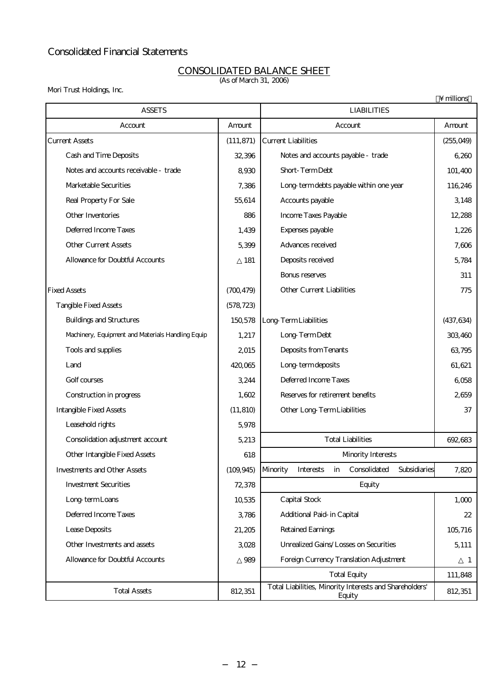## Consolidated Financial Statements

#### CONSOLIDATED BALANCE SHEET (As of March 31, 2006)

Mori Trust Holdings, Inc.

|                                                   |            |                                                                   | $\ln$        |  |
|---------------------------------------------------|------------|-------------------------------------------------------------------|--------------|--|
| <b>ASSETS</b>                                     |            | <b>LIABILITIES</b>                                                |              |  |
| Account                                           | Amount     | Account                                                           | Amount       |  |
| <b>Current Assets</b>                             | (111, 871) | <b>Current Liabilities</b>                                        | (255,049)    |  |
| Cash and Time Deposits                            | 32,396     | Notes and accounts payable - trade                                | 6,260        |  |
| Notes and accounts receivable - trade             | 8,930      | Short-TermDebt                                                    | 101,400      |  |
| Marketable Securities                             | 7,386      | Long termdebts payable within one year                            | 116,246      |  |
| Real Property For Sale                            | 55,614     | Accounts payable                                                  | 3,148        |  |
| Other Inventories                                 | 886        | <b>Income Taxes Payable</b>                                       | 12,288       |  |
| Deferred Incorre Taxes                            | 1,439      | Expenses payable                                                  | 1,226        |  |
| <b>Other Current Assets</b>                       | 5,399      | Advances received                                                 | 7,606        |  |
| <b>Allowance for Doubtful Accounts</b>            | 181        | Deposits received                                                 | 5,784        |  |
|                                                   |            | <b>Bonus reserves</b>                                             | 311          |  |
| <b>Fixed Assets</b>                               | (700, 479) | <b>Other Current Liabilities</b>                                  | 775          |  |
| <b>Tangible Fixed Assets</b>                      | (578, 723) |                                                                   |              |  |
| <b>Buildings and Structures</b>                   | 150,578    | Long TermLiabilities                                              | (437, 634)   |  |
| Machinery, Equipment and Materials Handling Equip | 1,217      | Long-TermDebt                                                     | 303,460      |  |
| Tools and supplies                                | 2015       | Deposits from Tenants                                             | 63,795       |  |
| Land                                              | 420,065    | Long termdeposits                                                 | 61,621       |  |
| Golf courses                                      | 3,244      | Deferred Incorre Taxes                                            | 6,058        |  |
| Construction in progress                          | 1,602      | Reserves for retirement benefits                                  | 2659         |  |
| <b>Intangible Fixed Assets</b>                    | (11, 810)  | <b>Other Long TermLiabilities</b>                                 | 37           |  |
| Leasehold rights                                  | 5,978      |                                                                   |              |  |
| Consolidation adjustment account                  | 5,213      | <b>Total Liabilities</b>                                          | 692,683      |  |
| Other Intangible Fixed Assets                     | 618        | Minority Interests                                                |              |  |
| <b>Investments and Other Assets</b>               | (109, 945) | Consolidated<br>Subsidiaries<br>Minority<br>Interests<br>in       | 7,820        |  |
| <b>Investment Securities</b>                      | 72,378     | Equity                                                            |              |  |
| Long term Loans                                   | 10,535     | Capital Stock                                                     | 1,000        |  |
| Deferred Incorre Taxes                            | 3,786      | Additional Paid in Capital                                        | 22           |  |
| Lease Deposits                                    | 21,205     | Retained Earnings                                                 | 105,716      |  |
| Other Investments and assets                      | 3028       | Urrealized Gains/Losses on Securities                             | 5,111        |  |
| <b>Allowance for Doubtful Accounts</b>            | 989        | Foreign Currency Translation Adjustment                           | $\mathbf{1}$ |  |
|                                                   |            | <b>Total Equity</b>                                               | 111,848      |  |
| <b>Total Assets</b>                               | 812, 351   | Total Liabilities, Minority Interests and Shareholders'<br>Equity | 812,351      |  |